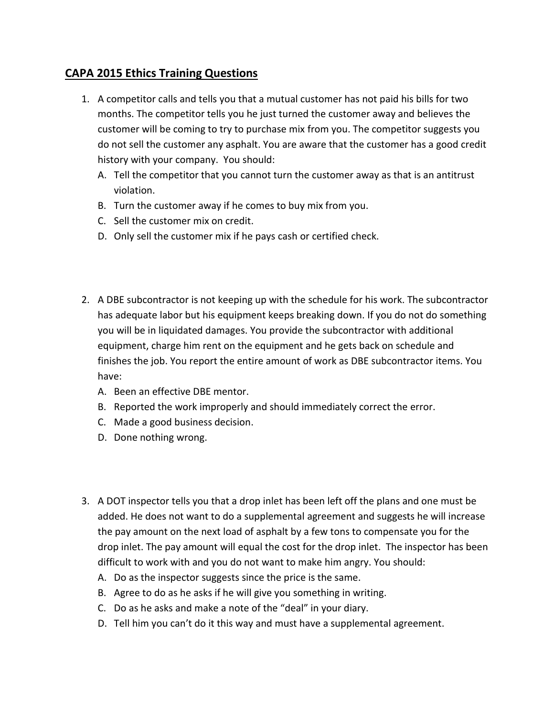## **CAPA 2015 Ethics Training Questions**

- 1. A competitor calls and tells you that a mutual customer has not paid his bills for two months. The competitor tells you he just turned the customer away and believes the customer will be coming to try to purchase mix from you. The competitor suggests you do not sell the customer any asphalt. You are aware that the customer has a good credit history with your company. You should:
	- A. Tell the competitor that you cannot turn the customer away as that is an antitrust violation.
	- B. Turn the customer away if he comes to buy mix from you.
	- C. Sell the customer mix on credit.
	- D. Only sell the customer mix if he pays cash or certified check.
- 2. A DBE subcontractor is not keeping up with the schedule for his work. The subcontractor has adequate labor but his equipment keeps breaking down. If you do not do something you will be in liquidated damages. You provide the subcontractor with additional equipment, charge him rent on the equipment and he gets back on schedule and finishes the job. You report the entire amount of work as DBE subcontractor items. You have:
	- A. Been an effective DBE mentor.
	- B. Reported the work improperly and should immediately correct the error.
	- C. Made a good business decision.
	- D. Done nothing wrong.
- 3. A DOT inspector tells you that a drop inlet has been left off the plans and one must be added. He does not want to do a supplemental agreement and suggests he will increase the pay amount on the next load of asphalt by a few tons to compensate you for the drop inlet. The pay amount will equal the cost for the drop inlet. The inspector has been difficult to work with and you do not want to make him angry. You should:
	- A. Do as the inspector suggests since the price is the same.
	- B. Agree to do as he asks if he will give you something in writing.
	- C. Do as he asks and make a note of the "deal" in your diary.
	- D. Tell him you can't do it this way and must have a supplemental agreement.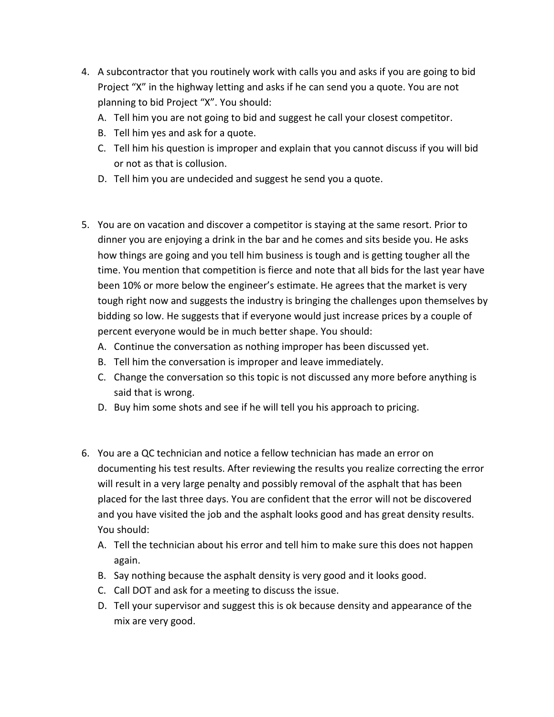- 4. A subcontractor that you routinely work with calls you and asks if you are going to bid Project "X" in the highway letting and asks if he can send you a quote. You are not planning to bid Project "X". You should:
	- A. Tell him you are not going to bid and suggest he call your closest competitor.
	- B. Tell him yes and ask for a quote.
	- C. Tell him his question is improper and explain that you cannot discuss if you will bid or not as that is collusion.
	- D. Tell him you are undecided and suggest he send you a quote.
- 5. You are on vacation and discover a competitor is staying at the same resort. Prior to dinner you are enjoying a drink in the bar and he comes and sits beside you. He asks how things are going and you tell him business is tough and is getting tougher all the time. You mention that competition is fierce and note that all bids for the last year have been 10% or more below the engineer's estimate. He agrees that the market is very tough right now and suggests the industry is bringing the challenges upon themselves by bidding so low. He suggests that if everyone would just increase prices by a couple of percent everyone would be in much better shape. You should:
	- A. Continue the conversation as nothing improper has been discussed yet.
	- B. Tell him the conversation is improper and leave immediately.
	- C. Change the conversation so this topic is not discussed any more before anything is said that is wrong.
	- D. Buy him some shots and see if he will tell you his approach to pricing.
- 6. You are a QC technician and notice a fellow technician has made an error on documenting his test results. After reviewing the results you realize correcting the error will result in a very large penalty and possibly removal of the asphalt that has been placed for the last three days. You are confident that the error will not be discovered and you have visited the job and the asphalt looks good and has great density results. You should:
	- A. Tell the technician about his error and tell him to make sure this does not happen again.
	- B. Say nothing because the asphalt density is very good and it looks good.
	- C. Call DOT and ask for a meeting to discuss the issue.
	- D. Tell your supervisor and suggest this is ok because density and appearance of the mix are very good.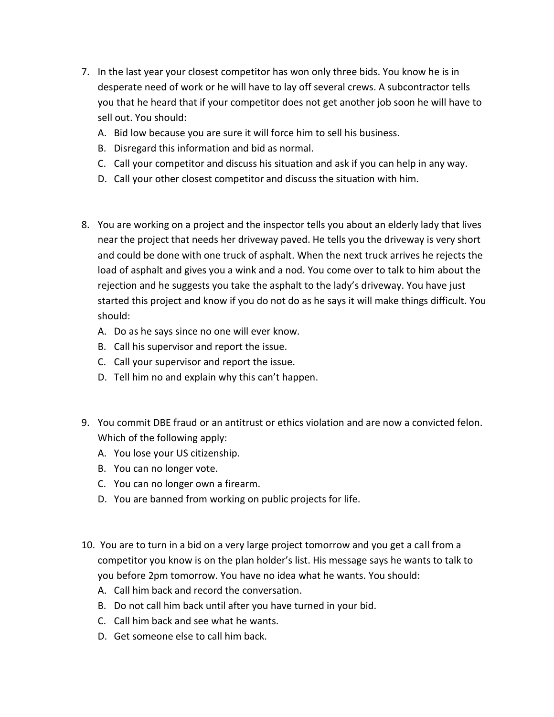- 7. In the last year your closest competitor has won only three bids. You know he is in desperate need of work or he will have to lay off several crews. A subcontractor tells you that he heard that if your competitor does not get another job soon he will have to sell out. You should:
	- A. Bid low because you are sure it will force him to sell his business.
	- B. Disregard this information and bid as normal.
	- C. Call your competitor and discuss his situation and ask if you can help in any way.
	- D. Call your other closest competitor and discuss the situation with him.
- 8. You are working on a project and the inspector tells you about an elderly lady that lives near the project that needs her driveway paved. He tells you the driveway is very short and could be done with one truck of asphalt. When the next truck arrives he rejects the load of asphalt and gives you a wink and a nod. You come over to talk to him about the rejection and he suggests you take the asphalt to the lady's driveway. You have just started this project and know if you do not do as he says it will make things difficult. You should:
	- A. Do as he says since no one will ever know.
	- B. Call his supervisor and report the issue.
	- C. Call your supervisor and report the issue.
	- D. Tell him no and explain why this can't happen.
- 9. You commit DBE fraud or an antitrust or ethics violation and are now a convicted felon. Which of the following apply:
	- A. You lose your US citizenship.
	- B. You can no longer vote.
	- C. You can no longer own a firearm.
	- D. You are banned from working on public projects for life.
- 10. You are to turn in a bid on a very large project tomorrow and you get a call from a competitor you know is on the plan holder's list. His message says he wants to talk to you before 2pm tomorrow. You have no idea what he wants. You should:
	- A. Call him back and record the conversation.
	- B. Do not call him back until after you have turned in your bid.
	- C. Call him back and see what he wants.
	- D. Get someone else to call him back.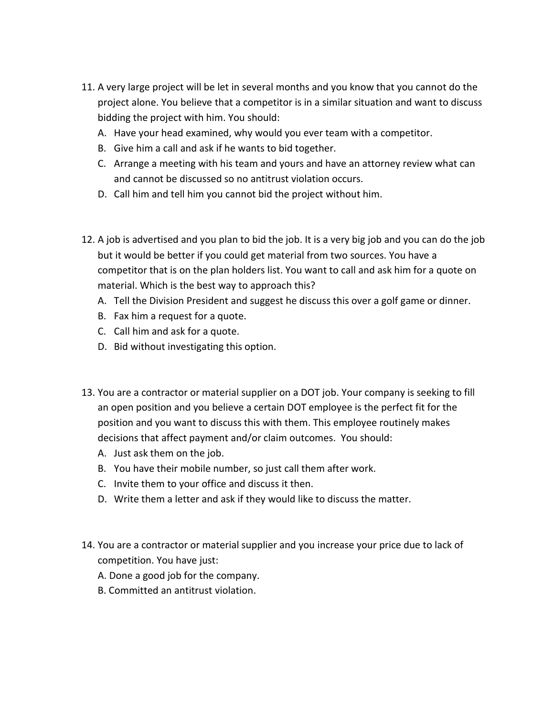- 11. A very large project will be let in several months and you know that you cannot do the project alone. You believe that a competitor is in a similar situation and want to discuss bidding the project with him. You should:
	- A. Have your head examined, why would you ever team with a competitor.
	- B. Give him a call and ask if he wants to bid together.
	- C. Arrange a meeting with his team and yours and have an attorney review what can and cannot be discussed so no antitrust violation occurs.
	- D. Call him and tell him you cannot bid the project without him.
- 12. A job is advertised and you plan to bid the job. It is a very big job and you can do the job but it would be better if you could get material from two sources. You have a competitor that is on the plan holders list. You want to call and ask him for a quote on material. Which is the best way to approach this?
	- A. Tell the Division President and suggest he discuss this over a golf game or dinner.
	- B. Fax him a request for a quote.
	- C. Call him and ask for a quote.
	- D. Bid without investigating this option.
- 13. You are a contractor or material supplier on a DOT job. Your company is seeking to fill an open position and you believe a certain DOT employee is the perfect fit for the position and you want to discuss this with them. This employee routinely makes decisions that affect payment and/or claim outcomes. You should:
	- A. Just ask them on the job.
	- B. You have their mobile number, so just call them after work.
	- C. Invite them to your office and discuss it then.
	- D. Write them a letter and ask if they would like to discuss the matter.
- 14. You are a contractor or material supplier and you increase your price due to lack of competition. You have just:
	- A. Done a good job for the company.
	- B. Committed an antitrust violation.